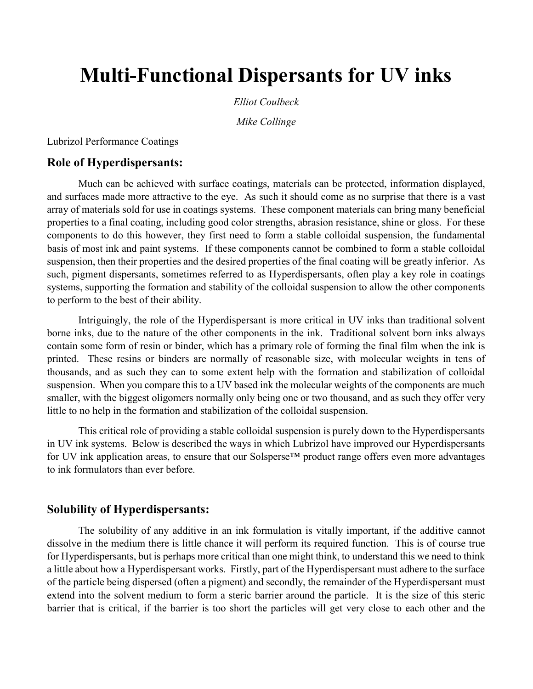# Multi-Functional Dispersants for UV inks

Elliot Coulbeck

Mike Collinge

Lubrizol Performance Coatings

#### Role of Hyperdispersants:

Much can be achieved with surface coatings, materials can be protected, information displayed, and surfaces made more attractive to the eye. As such it should come as no surprise that there is a vast array of materials sold for use in coatings systems. These component materials can bring many beneficial properties to a final coating, including good color strengths, abrasion resistance, shine or gloss. For these components to do this however, they first need to form a stable colloidal suspension, the fundamental basis of most ink and paint systems. If these components cannot be combined to form a stable colloidal suspension, then their properties and the desired properties of the final coating will be greatly inferior. As such, pigment dispersants, sometimes referred to as Hyperdispersants, often play a key role in coatings systems, supporting the formation and stability of the colloidal suspension to allow the other components to perform to the best of their ability.

Intriguingly, the role of the Hyperdispersant is more critical in UV inks than traditional solvent borne inks, due to the nature of the other components in the ink. Traditional solvent born inks always contain some form of resin or binder, which has a primary role of forming the final film when the ink is printed. These resins or binders are normally of reasonable size, with molecular weights in tens of thousands, and as such they can to some extent help with the formation and stabilization of colloidal suspension. When you compare this to a UV based ink the molecular weights of the components are much smaller, with the biggest oligomers normally only being one or two thousand, and as such they offer very little to no help in the formation and stabilization of the colloidal suspension.

This critical role of providing a stable colloidal suspension is purely down to the Hyperdispersants in UV ink systems. Below is described the ways in which Lubrizol have improved our Hyperdispersants for UV ink application areas, to ensure that our Solsperse™ product range offers even more advantages to ink formulators than ever before.

#### Solubility of Hyperdispersants:

 The solubility of any additive in an ink formulation is vitally important, if the additive cannot dissolve in the medium there is little chance it will perform its required function. This is of course true for Hyperdispersants, but is perhaps more critical than one might think, to understand this we need to think a little about how a Hyperdispersant works. Firstly, part of the Hyperdispersant must adhere to the surface of the particle being dispersed (often a pigment) and secondly, the remainder of the Hyperdispersant must extend into the solvent medium to form a steric barrier around the particle. It is the size of this steric barrier that is critical, if the barrier is too short the particles will get very close to each other and the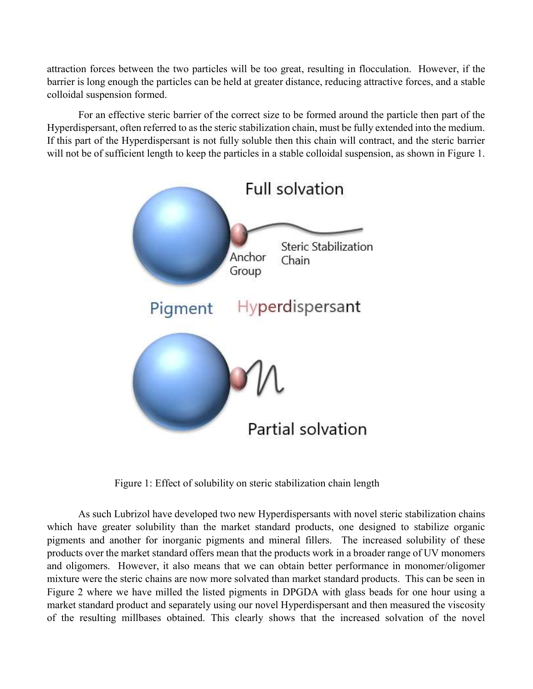attraction forces between the two particles will be too great, resulting in flocculation. However, if the barrier is long enough the particles can be held at greater distance, reducing attractive forces, and a stable colloidal suspension formed.

 For an effective steric barrier of the correct size to be formed around the particle then part of the Hyperdispersant, often referred to as the steric stabilization chain, must be fully extended into the medium. If this part of the Hyperdispersant is not fully soluble then this chain will contract, and the steric barrier will not be of sufficient length to keep the particles in a stable colloidal suspension, as shown in Figure 1.



Figure 1: Effect of solubility on steric stabilization chain length

As such Lubrizol have developed two new Hyperdispersants with novel steric stabilization chains which have greater solubility than the market standard products, one designed to stabilize organic pigments and another for inorganic pigments and mineral fillers. The increased solubility of these products over the market standard offers mean that the products work in a broader range of UV monomers and oligomers. However, it also means that we can obtain better performance in monomer/oligomer mixture were the steric chains are now more solvated than market standard products. This can be seen in Figure 2 where we have milled the listed pigments in DPGDA with glass beads for one hour using a market standard product and separately using our novel Hyperdispersant and then measured the viscosity of the resulting millbases obtained. This clearly shows that the increased solvation of the novel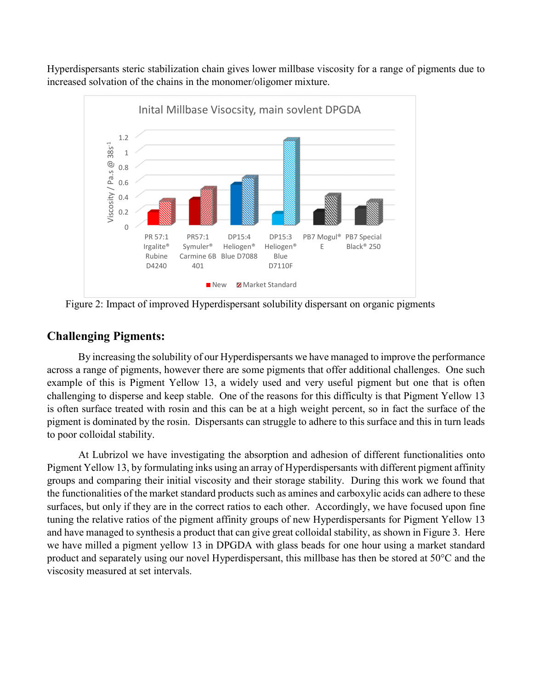Hyperdispersants steric stabilization chain gives lower millbase viscosity for a range of pigments due to increased solvation of the chains in the monomer/oligomer mixture.



Figure 2: Impact of improved Hyperdispersant solubility dispersant on organic pigments

## Challenging Pigments:

By increasing the solubility of our Hyperdispersants we have managed to improve the performance across a range of pigments, however there are some pigments that offer additional challenges. One such example of this is Pigment Yellow 13, a widely used and very useful pigment but one that is often challenging to disperse and keep stable. One of the reasons for this difficulty is that Pigment Yellow 13 is often surface treated with rosin and this can be at a high weight percent, so in fact the surface of the pigment is dominated by the rosin. Dispersants can struggle to adhere to this surface and this in turn leads to poor colloidal stability.

 At Lubrizol we have investigating the absorption and adhesion of different functionalities onto Pigment Yellow 13, by formulating inks using an array of Hyperdispersants with different pigment affinity groups and comparing their initial viscosity and their storage stability. During this work we found that the functionalities of the market standard products such as amines and carboxylic acids can adhere to these surfaces, but only if they are in the correct ratios to each other. Accordingly, we have focused upon fine tuning the relative ratios of the pigment affinity groups of new Hyperdispersants for Pigment Yellow 13 and have managed to synthesis a product that can give great colloidal stability, as shown in Figure 3. Here we have milled a pigment yellow 13 in DPGDA with glass beads for one hour using a market standard product and separately using our novel Hyperdispersant, this millbase has then be stored at 50°C and the viscosity measured at set intervals.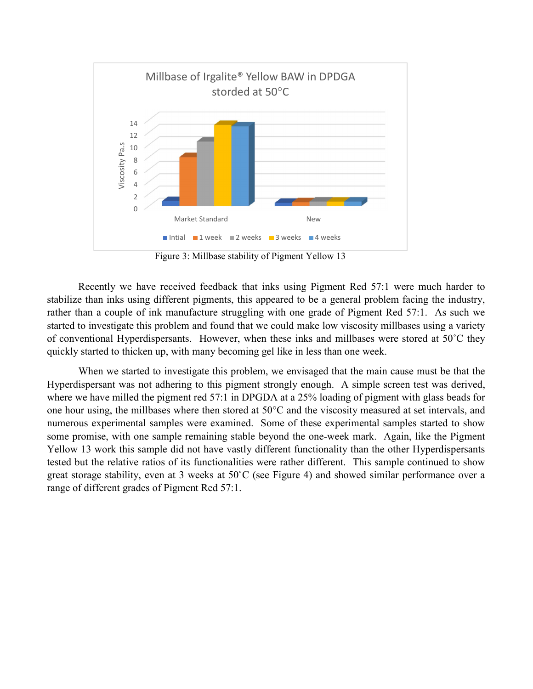

Figure 3: Millbase stability of Pigment Yellow 13

Recently we have received feedback that inks using Pigment Red 57:1 were much harder to stabilize than inks using different pigments, this appeared to be a general problem facing the industry, rather than a couple of ink manufacture struggling with one grade of Pigment Red 57:1. As such we started to investigate this problem and found that we could make low viscosity millbases using a variety of conventional Hyperdispersants. However, when these inks and millbases were stored at 50˚C they quickly started to thicken up, with many becoming gel like in less than one week.

 When we started to investigate this problem, we envisaged that the main cause must be that the Hyperdispersant was not adhering to this pigment strongly enough. A simple screen test was derived, where we have milled the pigment red 57:1 in DPGDA at a 25% loading of pigment with glass beads for one hour using, the millbases where then stored at 50°C and the viscosity measured at set intervals, and numerous experimental samples were examined. Some of these experimental samples started to show some promise, with one sample remaining stable beyond the one-week mark. Again, like the Pigment Yellow 13 work this sample did not have vastly different functionality than the other Hyperdispersants tested but the relative ratios of its functionalities were rather different. This sample continued to show great storage stability, even at 3 weeks at 50˚C (see Figure 4) and showed similar performance over a range of different grades of Pigment Red 57:1.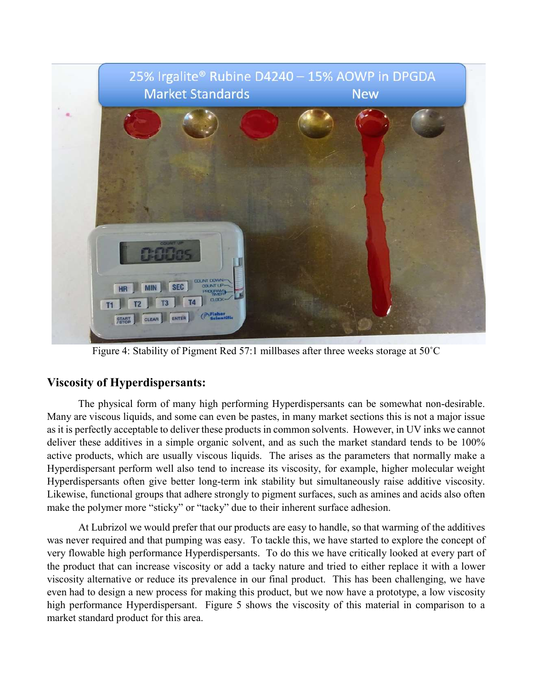

Figure 4: Stability of Pigment Red 57:1 millbases after three weeks storage at 50˚C

## Viscosity of Hyperdispersants:

The physical form of many high performing Hyperdispersants can be somewhat non-desirable. Many are viscous liquids, and some can even be pastes, in many market sections this is not a major issue as it is perfectly acceptable to deliver these products in common solvents. However, in UV inks we cannot deliver these additives in a simple organic solvent, and as such the market standard tends to be 100% active products, which are usually viscous liquids. The arises as the parameters that normally make a Hyperdispersant perform well also tend to increase its viscosity, for example, higher molecular weight Hyperdispersants often give better long-term ink stability but simultaneously raise additive viscosity. Likewise, functional groups that adhere strongly to pigment surfaces, such as amines and acids also often make the polymer more "sticky" or "tacky" due to their inherent surface adhesion.

 At Lubrizol we would prefer that our products are easy to handle, so that warming of the additives was never required and that pumping was easy. To tackle this, we have started to explore the concept of very flowable high performance Hyperdispersants. To do this we have critically looked at every part of the product that can increase viscosity or add a tacky nature and tried to either replace it with a lower viscosity alternative or reduce its prevalence in our final product. This has been challenging, we have even had to design a new process for making this product, but we now have a prototype, a low viscosity high performance Hyperdispersant. Figure 5 shows the viscosity of this material in comparison to a market standard product for this area.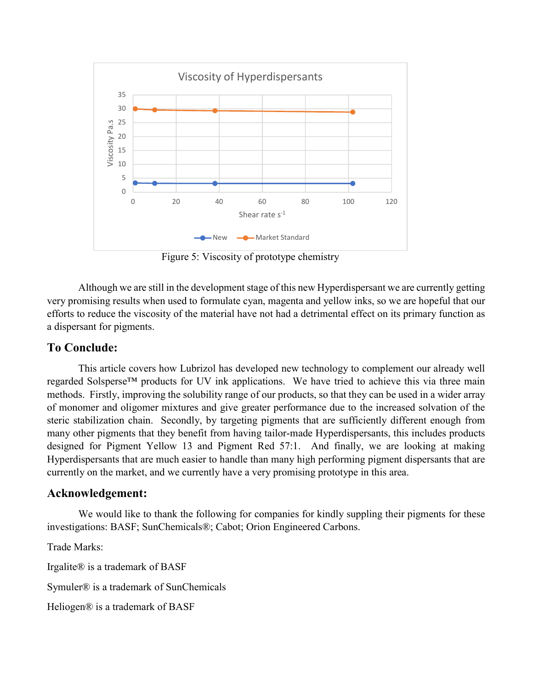

Figure 5: Viscosity of prototype chemistry

Although we are still in the development stage of this new Hyperdispersant we are currently getting very promising results when used to formulate cyan, magenta and yellow inks, so we are hopeful that our efforts to reduce the viscosity of the material have not had a detrimental effect on its primary function as a dispersant for pigments.

## To Conclude:

This article covers how Lubrizol has developed new technology to complement our already well regarded Solsperse™ products for UV ink applications. We have tried to achieve this via three main methods. Firstly, improving the solubility range of our products, so that they can be used in a wider array of monomer and oligomer mixtures and give greater performance due to the increased solvation of the steric stabilization chain. Secondly, by targeting pigments that are sufficiently different enough from many other pigments that they benefit from having tailor-made Hyperdispersants, this includes products designed for Pigment Yellow 13 and Pigment Red 57:1. And finally, we are looking at making Hyperdispersants that are much easier to handle than many high performing pigment dispersants that are currently on the market, and we currently have a very promising prototype in this area.

#### Acknowledgement:

We would like to thank the following for companies for kindly suppling their pigments for these investigations: BASF; SunChemicals®; Cabot; Orion Engineered Carbons.

Trade Marks:

Irgalite® is a trademark of BASF

Symuler® is a trademark of SunChemicals

Heliogen® is a trademark of BASF